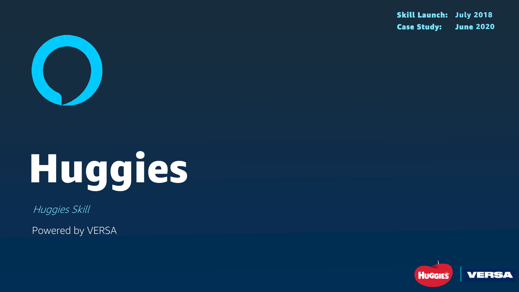

# Huggies

Huggies Skill

Powered by VERSA

### Skill Launch: July 2018 Case Study: June 2020

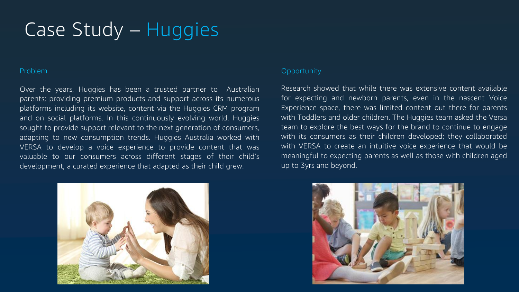### Problem

Over the years, Huggies has been a trusted partner to Australian parents; providing premium products and support across its numerous platforms including its website, content via the Huggies CRM program and on social platforms. In this continuously evolving world, Huggies sought to provide support relevant to the next generation of consumers, adapting to new consumption trends. Huggies Australia worked with VERSA to develop a voice experience to provide content that was valuable to our consumers across different stages of their child's development, a curated experience that adapted as their child grew.

### **Opportunity**

# Case Study – Huggies

Research showed that while there was extensive content available for expecting and newborn parents, even in the nascent Voice Experience space, there was limited content out there for parents with Toddlers and older children. The Huggies team asked the Versa team to explore the best ways for the brand to continue to engage with its consumers as their children developed; they collaborated with VERSA to create an intuitive voice experience that would be meaningful to expecting parents as well as those with children aged up to 3yrs and beyond.



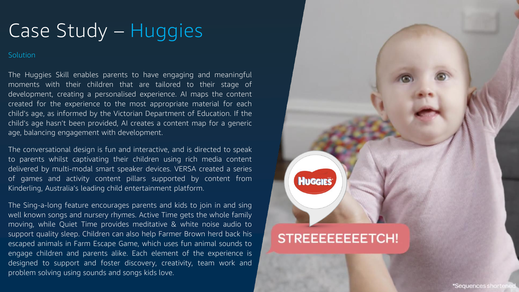Solution

# Case Study – Huggies

The Huggies Skill enables parents to have engaging and meaningful moments with their children that are tailored to their stage of development, creating a personalised experience. AI maps the content created for the experience to the most appropriate material for each child's age, as informed by the Victorian Department of Education. If the child's age hasn't been provided, AI creates a content map for a generic age, balancing engagement with development.

The conversational design is fun and interactive, and is directed to speak to parents whilst captivating their children using rich media content delivered by multi-modal smart speaker devices. VERSA created a series of games and activity content pillars supported by content from Kinderling, Australia's leading child entertainment platform.

The Sing-a-long feature encourages parents and kids to join in and sing well known songs and nursery rhymes. Active Time gets the whole family moving, while Quiet Time provides meditative & white noise audio to support quality sleep. Children can also help Farmer Brown herd back his escaped animals in Farm Escape Game, which uses fun animal sounds to engage children and parents alike. Each element of the experience is designed to support and foster discovery, creativity, team work and problem solving using sounds and songs kids love.

### **STREEEEEEEETCH!**

HUGGIES'

\*Sequences shortened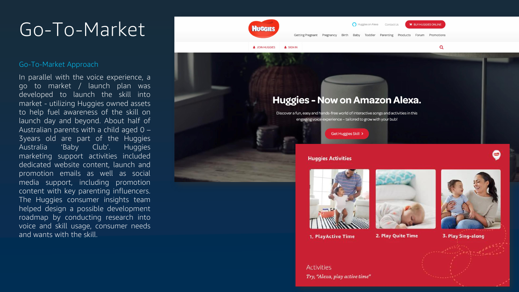# Go-To-Market

### Go-To-Market Approach

In parallel with the voice experience, a go to market / launch plan was developed to launch the skill into market - utilizing Huggies owned assets to help fuel awareness of the skill on launch day and beyond. About half of Australian parents with a child aged 0 – 3years old are part of the Huggies Australia 'Baby Club'. Huggies marketing support activities included dedicated website content, launch and promotion emails as well as social media support, including promotion content with key parenting influencers. The Huggies consumer insights team helped design a possible development roadmap by conducting research into voice and skill usage, consumer needs and wants with the skill.



1. PlayActive Time

**Activities** Try, "Alexa, play active time"



 $\alpha$ 

2. Play Quite Time



0

3. Play Sing-along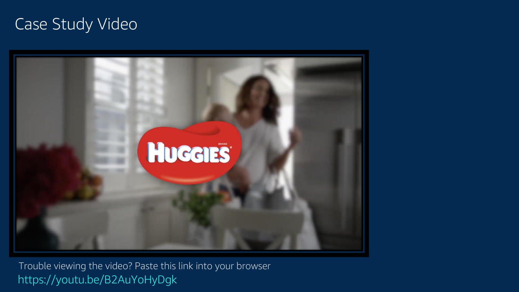### Case Study Video



https://youtu.be/B2AuYoHyDgk Trouble viewing the video? Paste this link into your browser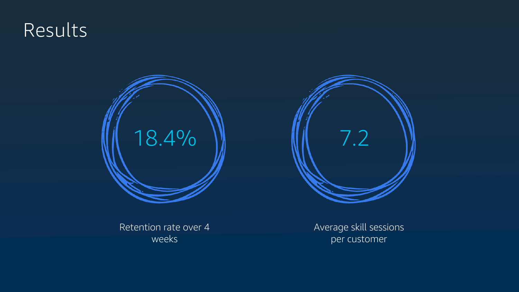# Results



Retention rate over 4 weeks

Average skill sessions per customer